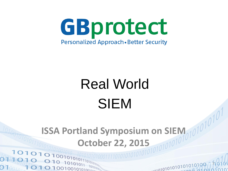

# Real World SIEM

# **ISSA Portland Symposium on SIEM October 22, 2015**

1

 $\sim$   $\sim$   $\sim$   $\sim$ 

10101010101010101010

00100101010010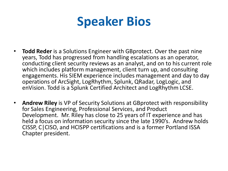### **Speaker Bios**

- **Todd Reder** is a Solutions Engineer with GBprotect. Over the past nine years, Todd has progressed from handling escalations as an operator, conducting client security reviews as an analyst, and on to his current role which includes platform management, client turn up, and consulting engagements. His SIEM experience includes management and day to day operations of ArcSight, LogRhythm, Splunk, QRadar, LogLogic, and enVision. Todd is a Splunk Certified Architect and LogRhythm LCSE.
- **Andrew Riley** is VP of Security Solutions at GBprotect with responsibility for Sales Engineering, Professional Services, and Product Development. Mr. Riley has close to 25 years of IT experience and has held a focus on information security since the late 1990's. Andrew holds CISSP, C|CISO, and HCISPP certifications and is a former Portland ISSA Chapter president.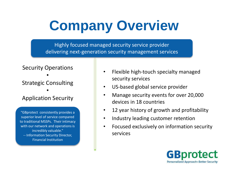# **Company Overview**

Highly focused managed security service provider delivering next-generation security management services

#### Security Operations • Strategic Consulting •

#### Application Security

"GBprotect consistently provides a superior level of service compared to traditional MSSPs. Their intimacy with our network and operations is incredibly valuable." -- Information Security Director, Financial Institution

- Flexible high-touch specialty managed security services
- US-based global service provider
- Manage security events for over 20,000 devices in 18 countries
- 12 year history of growth and profitability
- Industry leading customer retention
- Focused exclusively on information security services

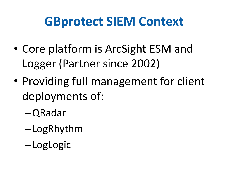### **GBprotect SIEM Context**

- Core platform is ArcSight ESM and Logger (Partner since 2002)
- Providing full management for client deployments of:
	- –QRadar
	- –LogRhythm
	- –LogLogic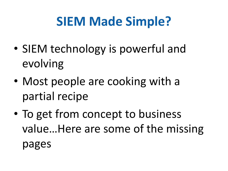# **SIEM Made Simple?**

- SIEM technology is powerful and evolving
- Most people are cooking with a partial recipe
- To get from concept to business value…Here are some of the missing pages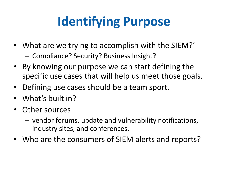# **Identifying Purpose**

- What are we trying to accomplish with the SIEM?'
	- Compliance? Security? Business Insight?
- By knowing our purpose we can start defining the specific use cases that will help us meet those goals.
- Defining use cases should be a team sport.
- What's built in?
- Other sources
	- vendor forums, update and vulnerability notifications, industry sites, and conferences.
- Who are the consumers of SIEM alerts and reports?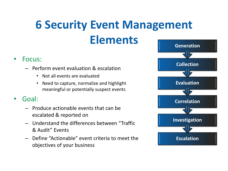# **6 Security Event Management Elements**

#### • Focus:

- Perform event evaluation & escalation
	- Not all events are evaluated
	- Need to capture, normalize and highlight meaningful or potentially suspect events

#### • Goal:

- Produce actionable events that can be escalated & reported on
- Understand the differences between "Traffic & Audit" Events
- Define "Actionable" event criteria to meet the objectives of your business

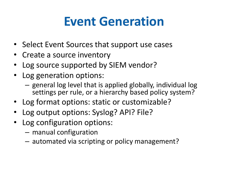# **Event Generation**

- Select Event Sources that support use cases
- Create a source inventory
- Log source supported by SIEM vendor?
- Log generation options:
	- general log level that is applied globally, individual log settings per rule, or a hierarchy based policy system?
- Log format options: static or customizable?
- Log output options: Syslog? API? File?
- Log configuration options:
	- manual configuration
	- automated via scripting or policy management?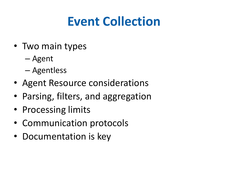# **Event Collection**

- Two main types
	- Agent
	- Agentless
- Agent Resource considerations
- Parsing, filters, and aggregation
- Processing limits
- Communication protocols
- Documentation is key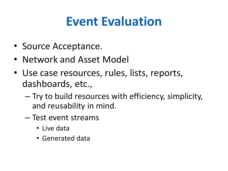# **Event Evaluation**

- Source Acceptance.
- Network and Asset Model
- Use case resources, rules, lists, reports, dashboards, etc.,
	- Try to build resources with efficiency, simplicity, and reusability in mind.
	- Test event streams
		- Live data
		- Generated data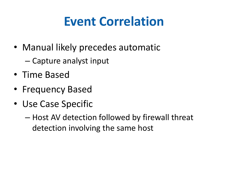# **Event Correlation**

- Manual likely precedes automatic
	- Capture analyst input
- Time Based
- Frequency Based
- Use Case Specific
	- Host AV detection followed by firewall threat detection involving the same host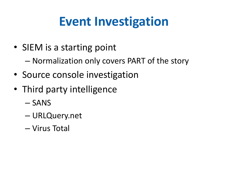# **Event Investigation**

- SIEM is a starting point
	- Normalization only covers PART of the story
- Source console investigation
- Third party intelligence
	- SANS
	- URLQuery.net
	- Virus Total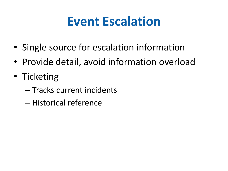### **Event Escalation**

- Single source for escalation information
- Provide detail, avoid information overload
- Ticketing
	- Tracks current incidents
	- Historical reference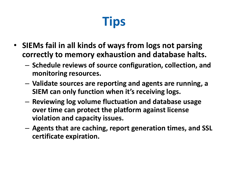# **Tips**

- **SIEMs fail in all kinds of ways from logs not parsing correctly to memory exhaustion and database halts.** 
	- **Schedule reviews of source configuration, collection, and monitoring resources.**
	- **Validate sources are reporting and agents are running, a SIEM can only function when it's receiving logs.**
	- **Reviewing log volume fluctuation and database usage over time can protect the platform against license violation and capacity issues.**
	- **Agents that are caching, report generation times, and SSL certificate expiration.**